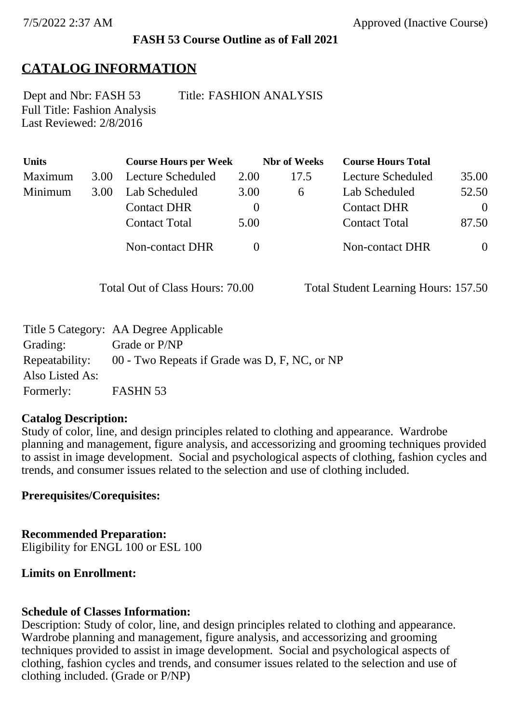# **FASH 53 Course Outline as of Fall 2021**

# **CATALOG INFORMATION**

Full Title: Fashion Analysis Last Reviewed: 2/8/2016 Dept and Nbr: FASH 53 Title: FASHION ANALYSIS

| Units   |                              | <b>Course Hours per Week</b> |                      | <b>Nbr</b> of Weeks | <b>Course Hours Total</b> |          |
|---------|------------------------------|------------------------------|----------------------|---------------------|---------------------------|----------|
| Maximum | 3.00                         | Lecture Scheduled            | 2.00                 | 17.5                | Lecture Scheduled         | 35.00    |
| Minimum | 3.00                         | Lab Scheduled                | 3.00                 | 6                   | Lab Scheduled             | 52.50    |
|         |                              | <b>Contact DHR</b>           | $\theta$             |                     | <b>Contact DHR</b>        | $\theta$ |
|         | <b>Contact Total</b><br>5.00 |                              | <b>Contact Total</b> | 87.50               |                           |          |
|         |                              | Non-contact DHR              |                      |                     | <b>Non-contact DHR</b>    |          |
|         |                              |                              |                      |                     |                           |          |

Total Out of Class Hours: 70.00 Total Student Learning Hours: 157.50

|                 | Title 5 Category: AA Degree Applicable                       |
|-----------------|--------------------------------------------------------------|
| Grading:        | Grade or P/NP                                                |
|                 | Repeatability: 00 - Two Repeats if Grade was D, F, NC, or NP |
| Also Listed As: |                                                              |
| Formerly:       | FASHN 53                                                     |

### **Catalog Description:**

Study of color, line, and design principles related to clothing and appearance. Wardrobe planning and management, figure analysis, and accessorizing and grooming techniques provided to assist in image development. Social and psychological aspects of clothing, fashion cycles and trends, and consumer issues related to the selection and use of clothing included.

### **Prerequisites/Corequisites:**

**Recommended Preparation:** Eligibility for ENGL 100 or ESL 100

### **Limits on Enrollment:**

### **Schedule of Classes Information:**

Description: Study of color, line, and design principles related to clothing and appearance. Wardrobe planning and management, figure analysis, and accessorizing and grooming techniques provided to assist in image development. Social and psychological aspects of clothing, fashion cycles and trends, and consumer issues related to the selection and use of clothing included. (Grade or P/NP)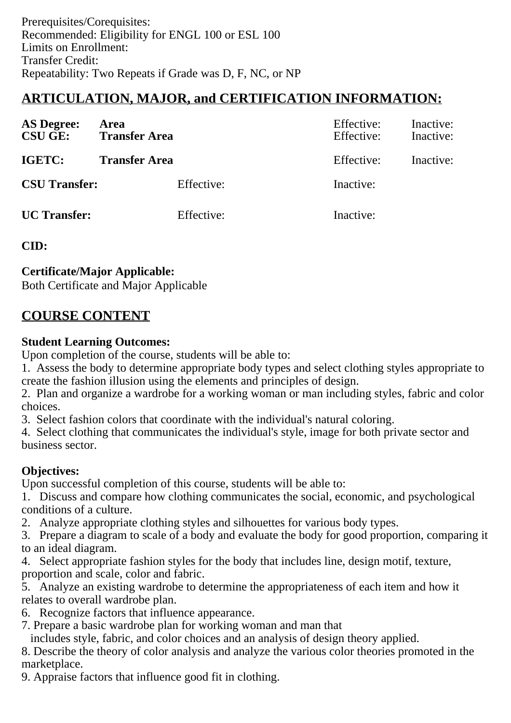# **ARTICULATION, MAJOR, and CERTIFICATION INFORMATION:**

| <b>AS Degree:</b><br><b>CSU GE:</b> | Area<br><b>Transfer Area</b> | Effective:<br>Effective: | Inactive:<br>Inactive: |
|-------------------------------------|------------------------------|--------------------------|------------------------|
| IGETC:                              | <b>Transfer Area</b>         | Effective:               | Inactive:              |
| <b>CSU Transfer:</b>                | Effective:                   | Inactive:                |                        |
| <b>UC</b> Transfer:                 | Effective:                   | Inactive:                |                        |

**CID:**

## **Certificate/Major Applicable:**

[Both Certificate and Major Applicable](SR_ClassCheck.aspx?CourseKey=FASH53)

# **COURSE CONTENT**

### **Student Learning Outcomes:**

Upon completion of the course, students will be able to:

1. Assess the body to determine appropriate body types and select clothing styles appropriate to create the fashion illusion using the elements and principles of design.

2. Plan and organize a wardrobe for a working woman or man including styles, fabric and color choices.

3. Select fashion colors that coordinate with the individual's natural coloring.

4. Select clothing that communicates the individual's style, image for both private sector and business sector.

# **Objectives:**

Upon successful completion of this course, students will be able to:

1. Discuss and compare how clothing communicates the social, economic, and psychological conditions of a culture.

2. Analyze appropriate clothing styles and silhouettes for various body types.

3. Prepare a diagram to scale of a body and evaluate the body for good proportion, comparing it to an ideal diagram.

4. Select appropriate fashion styles for the body that includes line, design motif, texture, proportion and scale, color and fabric.

5. Analyze an existing wardrobe to determine the appropriateness of each item and how it relates to overall wardrobe plan.

- 6. Recognize factors that influence appearance.
- 7. Prepare a basic wardrobe plan for working woman and man that

includes style, fabric, and color choices and an analysis of design theory applied.

8. Describe the theory of color analysis and analyze the various color theories promoted in the marketplace.

9. Appraise factors that influence good fit in clothing.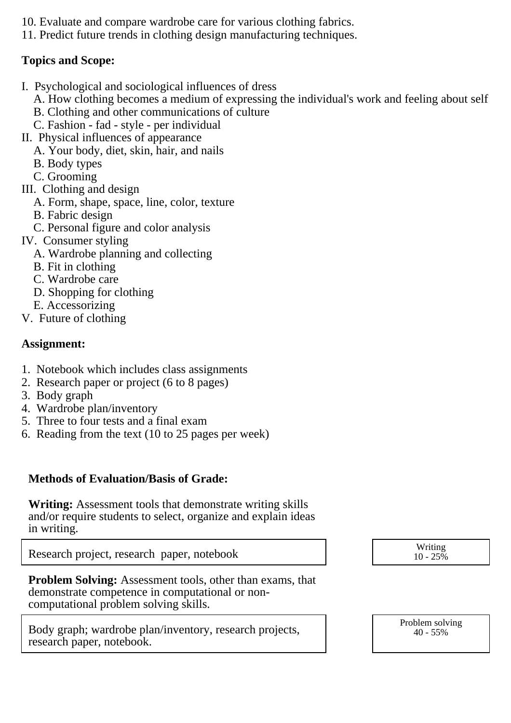- 10. Evaluate and compare wardrobe care for various clothing fabrics.
- 11. Predict future trends in clothing design manufacturing techniques.

### **Topics and Scope:**

- I. Psychological and sociological influences of dress
	- A. How clothing becomes a medium of expressing the individual's work and feeling about self
	- B. Clothing and other communications of culture
	- C. Fashion fad style per individual
- II. Physical influences of appearance
	- A. Your body, diet, skin, hair, and nails
	- B. Body types
	- C. Grooming
- III. Clothing and design
	- A. Form, shape, space, line, color, texture
	- B. Fabric design
	- C. Personal figure and color analysis
- IV. Consumer styling
	- A. Wardrobe planning and collecting
	- B. Fit in clothing
	- C. Wardrobe care
	- D. Shopping for clothing
	- E. Accessorizing
- V. Future of clothing

## **Assignment:**

- 1. Notebook which includes class assignments
- 2. Research paper or project (6 to 8 pages)
- 3. Body graph
- 4. Wardrobe plan/inventory
- 5. Three to four tests and a final exam
- 6. Reading from the text (10 to 25 pages per week)

# **Methods of Evaluation/Basis of Grade:**

**Writing:** Assessment tools that demonstrate writing skills and/or require students to select, organize and explain ideas in writing.

Research project, research paper, notebook  $\vert$   $\vert$  Writing  $\vert$ 

**Problem Solving:** Assessment tools, other than exams, that demonstrate competence in computational or noncomputational problem solving skills.

Body graph; wardrobe plan/inventory, research projects, research paper, notebook.

 $10 - 25\%$ 

Problem solving 40 - 55%